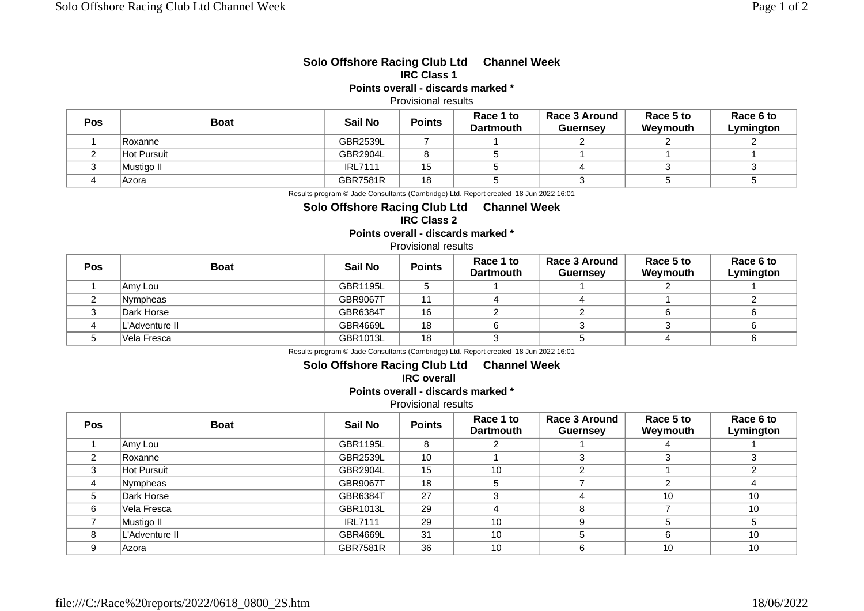### **Solo Offshore Racing Club Ltd Channel Week IRC Class 1**

## **Points overall - discards marked \***

#### Provisional results

| Pos | <b>Boat</b>        | Sail No         | <b>Points</b> | Race 1 to<br><b>Dartmouth</b> | <b>Race 3 Around</b><br><b>Guernsey</b> | Race 5 to<br>Weymouth | Race 6 to<br>Lymington |
|-----|--------------------|-----------------|---------------|-------------------------------|-----------------------------------------|-----------------------|------------------------|
|     | Roxanne            | <b>GBR2539L</b> |               |                               |                                         |                       |                        |
|     | <b>Hot Pursuit</b> | <b>GBR2904L</b> |               |                               |                                         |                       |                        |
|     | 'Mustiao II        | <b>IRL7111</b>  | 15<br>ט ו     |                               |                                         |                       |                        |
|     | Azora              | <b>GBR7581R</b> | 18            |                               |                                         |                       |                        |

Results program © Jade Consultants (Cambridge) Ltd. Report created 18 Jun 2022 16:01

# **Solo Offshore Racing Club Ltd Channel Week**

# **IRC Class 2**

**Points overall - discards marked \***

### Provisional results

| Pos | <b>Boat</b>    | Sail No         | <b>Points</b> | Race 1 to<br><b>Dartmouth</b> | <b>Race 3 Around</b><br><b>Guernsey</b> | Race 5 to<br>Weymouth | Race 6 to<br>Lymington |
|-----|----------------|-----------------|---------------|-------------------------------|-----------------------------------------|-----------------------|------------------------|
|     | Amy Lou        | <b>GBR1195L</b> |               |                               |                                         |                       |                        |
|     | Nympheas       | <b>GBR9067T</b> | 44            |                               |                                         |                       |                        |
|     | Dark Horse     | GBR6384T        | 16            |                               |                                         |                       |                        |
|     | L'Adventure II | <b>GBR4669L</b> | 18            |                               |                                         |                       |                        |
|     | Vela Fresca    | GBR1013L        | 18            |                               |                                         |                       |                        |

Results program © Jade Consultants (Cambridge) Ltd. Report created 18 Jun 2022 16:01

# **Solo Offshore Racing Club Ltd Channel Week**

**IRC overall** 

**Points overall - discards marked \***

Provisional results

| <b>Pos</b> | <b>Boat</b>    | Sail No         | <b>Points</b> | Race 1 to<br><b>Dartmouth</b> | <b>Race 3 Around</b><br><b>Guernsey</b> | Race 5 to<br>Weymouth | Race 6 to<br>Lymington |
|------------|----------------|-----------------|---------------|-------------------------------|-----------------------------------------|-----------------------|------------------------|
|            | Amy Lou        | <b>GBR1195L</b> | 8             |                               |                                         |                       |                        |
| 2          | Roxanne        | <b>GBR2539L</b> | 10            |                               | ว                                       |                       |                        |
| 3          | Hot Pursuit    | <b>GBR2904L</b> | 15            | 10                            |                                         |                       |                        |
| 4          | Nympheas       | <b>GBR9067T</b> | 18            |                               |                                         | C                     |                        |
| 5          | Dark Horse     | GBR6384T        | 27            |                               |                                         | 10                    | 10                     |
| 6          | Vela Fresca    | GBR1013L        | 29            |                               | 8                                       |                       | 10                     |
|            | Mustigo II     | <b>IRL7111</b>  | 29            | 10                            | 9                                       |                       |                        |
| 8          | L'Adventure II | <b>GBR4669L</b> | 31            | 10                            |                                         |                       | 10                     |
|            | Azora          | <b>GBR7581R</b> | 36            | 10                            | 6                                       | 10                    | 10                     |